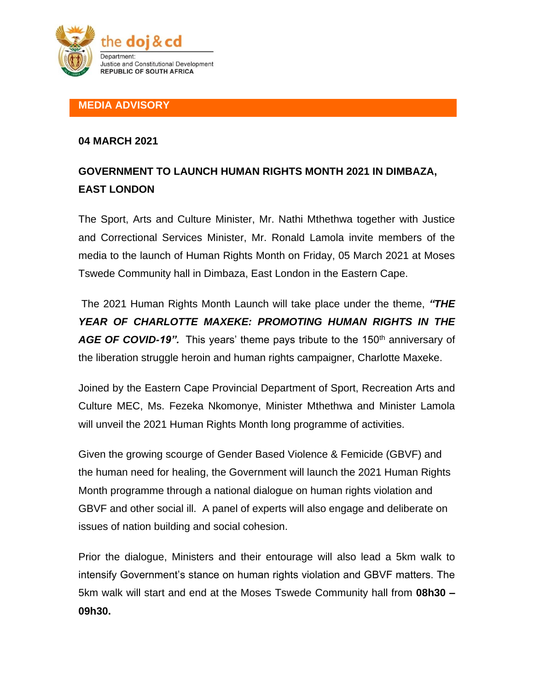

## **MEDIA ADVISORY**

## **04 MARCH 2021**

## **GOVERNMENT TO LAUNCH HUMAN RIGHTS MONTH 2021 IN DIMBAZA, EAST LONDON**

The Sport, Arts and Culture Minister, Mr. Nathi Mthethwa together with Justice and Correctional Services Minister, Mr. Ronald Lamola invite members of the media to the launch of Human Rights Month on Friday, 05 March 2021 at Moses Tswede Community hall in Dimbaza, East London in the Eastern Cape.

The 2021 Human Rights Month Launch will take place under the theme, *"THE YEAR OF CHARLOTTE MAXEKE: PROMOTING HUMAN RIGHTS IN THE*  AGE OF COVID-19". This years' theme pays tribute to the 150<sup>th</sup> anniversary of the liberation struggle heroin and human rights campaigner, Charlotte Maxeke.

Joined by the Eastern Cape Provincial Department of Sport, Recreation Arts and Culture MEC, Ms. Fezeka Nkomonye, Minister Mthethwa and Minister Lamola will unveil the 2021 Human Rights Month long programme of activities.

Given the growing scourge of Gender Based Violence & Femicide (GBVF) and the human need for healing, the Government will launch the 2021 Human Rights Month programme through a national dialogue on human rights violation and GBVF and other social ill. A panel of experts will also engage and deliberate on issues of nation building and social cohesion.

Prior the dialogue, Ministers and their entourage will also lead a 5km walk to intensify Government's stance on human rights violation and GBVF matters. The 5km walk will start and end at the Moses Tswede Community hall from **08h30 – 09h30.**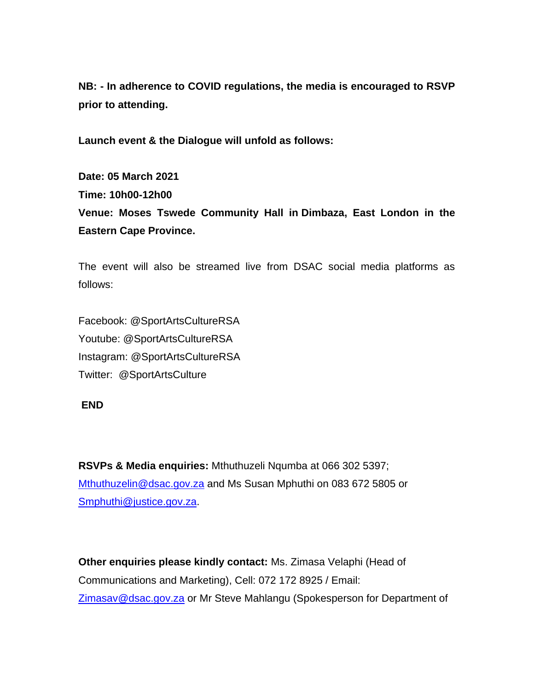**NB: - In adherence to COVID regulations, the media is encouraged to RSVP prior to attending.** 

**Launch event & the Dialogue will unfold as follows:** 

**Date: 05 March 2021 Time: 10h00-12h00 Venue: Moses Tswede Community Hall in Dimbaza, East London in the Eastern Cape Province.**

The event will also be streamed live from DSAC social media platforms as follows:

Facebook: @SportArtsCultureRSA Youtube: @SportArtsCultureRSA Instagram: @SportArtsCultureRSA Twitter: @SportArtsCulture

## **END**

**RSVPs & Media enquiries:** Mthuthuzeli Nqumba at 066 302 5397; [Mthuthuzelin@dsac.gov.za](mailto:Mthuthuzelin@dsac.gov.za) and Ms Susan Mphuthi on 083 672 5805 or [Smphuthi@justice.gov.za.](mailto:Smphuthi@justice.gov.za)

**Other enquiries please kindly contact:** Ms. Zimasa Velaphi (Head of Communications and Marketing), Cell: 072 172 8925 / Email: [Zimasav@dsac.gov.za](mailto:Zimasav@dsac.gov.za) or Mr Steve Mahlangu (Spokesperson for Department of